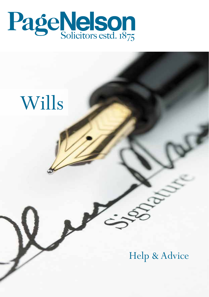

Wills

# Help & Advice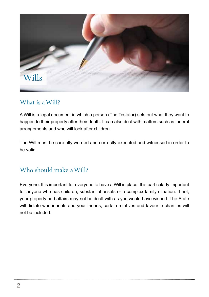

### What is a Will?

A Will is a legal document in which a person (The Testator) sets out what they want to happen to their property after their death. It can also deal with matters such as funeral arrangements and who will look after children.

The Will must be carefully worded and correctly executed and witnessed in order to be valid.

## Who should make a Will?

Everyone. It is important for everyone to have a Will in place. It is particularly important for anyone who has children, substantial assets or a complex family situation. If not, your property and affairs may not be dealt with as you would have wished. The State will dictate who inherits and your friends, certain relatives and favourite charities will not be included.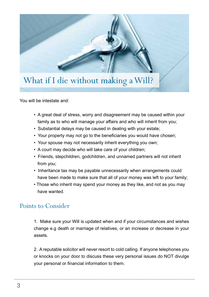

You will be intestate and:

- A great deal of stress, worry and disagreement may be caused within your family as to who will manage your affairs and who will inherit from you;
- Substantial delays may be caused in dealing with your estate;
- Your property may not go to the beneficiaries you would have chosen;
- Your spouse may not necessarily inherit everything you own;
- A court may decide who will take care of your children;
- Friends, stepchildren, godchildren, and unnamed partners will not inherit from you;
- Inheritance tax may be payable unnecessarily when arrangements could have been made to make sure that all of your money was left to your family;
- Those who inherit may spend your money as they like, and not as you may have wanted.

#### Points to Consider

1. Make sure your Will is updated when and if your circumstances and wishes change e.g death or marriage of relatives, or an increase or decrease in your assets.

2. A reputable solicitor will never resort to cold calling. If anyone telephones you or knocks on your door to discuss these very personal issues do NOT divulge your personal or financial information to them.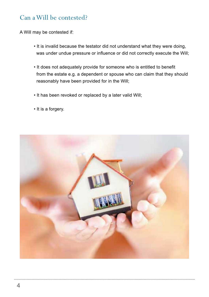### Can a Will be contested?

A Will may be contested if:

- It is invalid because the testator did not understand what they were doing, was under undue pressure or influence or did not correctly execute the Will;
- It does not adequately provide for someone who is entitled to benefit from the estate e.g. a dependent or spouse who can claim that they should reasonably have been provided for in the Will;
- It has been revoked or replaced by a later valid Will;
- It is a forgery.

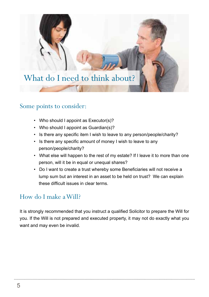

#### Some points to consider:

- Who should I appoint as Executor(s)?
- Who should I appoint as Guardian(s)?
- Is there any specific item I wish to leave to any person/people/charity?
- Is there any specific amount of money I wish to leave to any person/people/charity?
- What else will happen to the rest of my estate? If I leave it to more than one person, will it be in equal or unequal shares?
- Do I want to create a trust whereby some Beneficiaries will not receive a lump sum but an interest in an asset to be held on trust? We can explain these difficult issues in clear terms.

#### How do I make a Will?

It is strongly recommended that you instruct a qualified Solicitor to prepare the Will for you. If the Will is not prepared and executed property, it may not do exactly what you want and may even be invalid.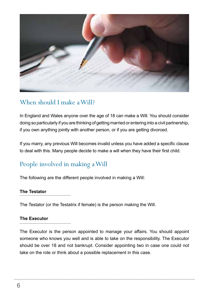

## When should I make a Will?

In England and Wales anyone over the age of 18 can make a Will. You should consider doing so particularly if you are thinking of getting married or entering into a civil partnership, if you own anything jointly with another person, or if you are getting divorced.

If you marry, any previous Will becomes invalid unless you have added a specific clause to deal with this. Many people decide to make a will when they have their first child.

## People involved in making a Will

The following are the different people involved in making a Will:

#### **The Testator**

The Testator (or the Testatrix if female) is the person making the Will.

#### **The Executor**

The Executor is the person appointed to manage your affairs. You should appoint someone who knows you well and is able to take on the responsibility. The Executor should be over 18 and not bankrupt. Consider appointing two in case one could not take on the role or think about a possible replacement in this case.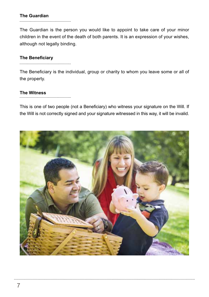## **The Guardian**

The Guardian is the person you would like to appoint to take care of your minor children in the event of the death of both parents. It is an expression of your wishes, although not legally binding.

#### **The Beneficiary**

The Beneficiary is the individual, group or charity to whom you leave some or all of the property.

**The Witness**

This is one of two people (not a Beneficiary) who witness your signature on the Will. If the Will is not correctly signed and your signature witnessed in this way, it will be invalid.